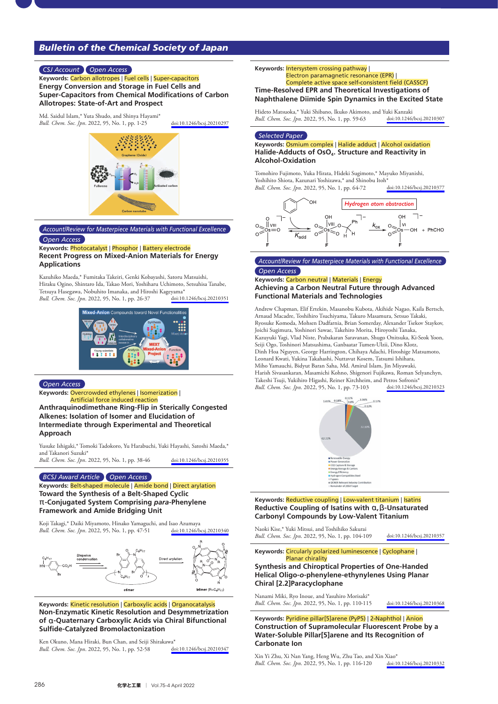# *Bulletin of the Chemical Society of Japan*

## *CSJ Account Open Access*

**Keywords:** Carbon allotropes | Fuel cells | Super**-**capacitors **Energy Conversion and Storage in Fuel Cells and Super**-**Capacitors from Chemical Modifications of Carbon Allotropes: State**-**of**-**Art and Prospect**

Md. Saidul Islam,\* Yuta Shudo, and Shinya Hayami\* *Bull. Chem. Soc. Jpn*. 2022, 95, No. 1, pp. 1-25 [doi:10.1246/bcsj.20210297](https://doi.org/10.1246/bcsj.20210297)



# *Account/Review for Masterpiece Materials with Functional Excellence*

#### *Open Access*

#### **Keywords:** Photocatalyst | Phosphor | Battery electrode **Recent Progress on Mixed**-**Anion Materials for Energy Applications**

Kazuhiko Maeda,\* Fumitaka Takeiri, Genki Kobayashi, Satoru Matsuishi, Hiraku Ogino, Shintaro Ida, Takao Mori, Yoshiharu Uchimoto, Setsuhisa Tanabe, Tetsuya Hasegawa, Nobuhito Imanaka, and Hiroshi Kageyama\*<br>Bull. Chem. Soc. Ipn. 2022. 95. No. 1. pp. 26-37 doi:10.1246/bcsi.20210351 *Bull. Chem. Soc. Jpn.* 2022, 95, No. 1, pp. 26-37



#### *Open Access*

**Keywords:** Overcrowded ethylenes | Isomerization | Artificial force induced reaction

**Anthraquinodimethane Ring**-**Flip in Sterically Congested Alkenes: Isolation of Isomer and Elucidation of Intermediate through Experimental and Theoretical Approach**

Yusuke Ishigaki,\* Tomoki Tadokoro, Yu Harabuchi, Yuki Hayashi, Satoshi Maeda,\* and Takanori Suzuki\*

*Bull. Chem. Soc. Jpn*. 2022, 95, No. 1, pp. 38-46 [doi:10.1246/bcsj.20210355](https://doi.org/10.1246/bcsj.20210355)

*BCSJ Award Article Open Access*

**Keywords:** Belt**-**shaped molecule | Amide bond | Direct arylation **Toward the Synthesis of a Belt**-**Shaped Cyclic**  <sup>π</sup>-**Conjugated System Comprising** *para*-**Phenylene Framework and Amide Bridging Unit**

Koji Takagi,\* Daiki Miyamoto, Hinako Yamaguchi, and Isao Azumaya<br>Rull Chem Soc Inn 2022, 95 No 1, nn 47-51 doi:10.1246/bcsi.20210340 *Bull. Chem. Soc. Jpn.* 2022, 95, No. 1, pp. 47-51



## **Keywords:** Kinetic resolution | Carboxylic acids | Organocatalysis **Non**-**Enzymatic Kinetic Resolution and Desymmetrization of** α-**Quaternary Carboxylic Acids via Chiral Bifunctional Sulfide**-**Catalyzed Bromolactonization**

Ken Okuno, Mana Hiraki, Bun Chan, and Seiji Shirakawa\*<br>*Bull Chem Soc Inn* 2022, 95. No 1, nn 52-58 doi:10.1246/bcsi.20210347 *Bull. Chem. Soc. Jpn.* 2022, 95, No. 1, pp. 52-58

## **Keywords:** Intersystem crossing pathway |

*Bull. Chem. Soc. Jpn.* 2022, 95, No. 1, pp. 59-63

## Electron paramagnetic resonance (EPR) | Complete active space self**-**consistent field (CASSCF) **Time**-**Resolved EPR and Theoretical Investigations of**

**Naphthalene Diimide Spin Dynamics in the Excited State** Hideto Matsuoka,\* Yuki Shibano, Ikuko Akimoto, and Yuki Kanzaki<br>
Bull. Chem. Soc. Jpn. 2022, 95, No. 1, pp. 59-63 doi:10.1246/hesi.20210307

*Selected Paper*

**Keywords:** Osmium complex | Halide adduct | Alcohol oxidation **Halide**-**Adducts of OsO4. Structure and Reactivity in Alcohol**-**Oxidation**

Tomohiro Fujimoto, Yuka Hirata, Hideki Sugimoto,\* Mayuko Miyanishi, Yoshihito Shiota, Kazunari Yoshizawa,\* and Shinobu Itoh\*<br>Bull. Chem. Soc. Jpn. 2022, 95, No. 1, pp. 64-72 doi:10.1246/bcsj.20210377 *Bull. Chem. Soc. Jpn.* 2022, 95, No. 1, pp. 64-72



## *Account/Review for Masterpiece Materials with Functional Excellence Open Access*

## **Keywords:** Carbon neutral | Materials | Energy **Achieving a Carbon Neutral Future through Advanced Functional Materials and Technologies**

Andrew Chapman, Elif Ertekin, Masanobu Kubota, Akihide Nagao, Kaila Bertsch, Arnaud Macadre, Toshihiro Tsuchiyama, Takuro Masamura, Setsuo Takaki, Ryosuke Komoda, Mohsen Dadfarnia, Brian Somerday, Alexander Tsekov Staykov, Joichi Sugimura, Yoshinori Sawae, Takehiro Morita, Hiroyoshi Tanaka, Kazuyuki Yagi, Vlad Niste, Prabakaran Saravanan, Shugo Onitsuka, Ki-Seok Yoon, Seiji Ogo, Toshinori Matsushima, Ganbaatar Tumen-Ulzii, Dino Klotz, Dinh Hoa Nguyen, George Harrington, Chihaya Adachi, Hiroshige Matsumoto, Leonard Kwati, Yukina Takahashi, Nuttavut Kosem, Tatsumi Ishihara, Miho Yamauchi, Bidyut Baran Saha, Md. Amirul Islam, Jin Miyawaki, Harish Sivasankaran, Masamichi Kohno, Shigenori Fujikawa, Roman Selyanchyn, Takeshi Tsuji, Yukihiro Higashi, Reiner Kirchheim, and Petros Sofronis\* *Bull. Chem. Soc. Jpn.* 2022, 95, No. 1, pp. 73-103



**Keywords:** Reductive coupling | Low**-**valent titanium | Isatins **Reductive Coupling of Isatins with** α**,**β-**Unsaturated Carbonyl Compounds by Low**-**Valent Titanium**

*Bull. Chem. Soc. Jpn*. 2022, 95, No. 1, pp. 104-109 [doi:10.1246/bcsj.20210357](https://doi.org/10.1246/bcsj.20210357)

**Keywords:** Circularly polarized luminescence | Cyclophane | Planar chirality

## **Synthesis and Chiroptical Properties of One**-**Handed Helical Oligo**-*o*-**phenylene**-**ethynylenes Using Planar Chiral [2.2]Paracyclophane**

Nanami Miki, Ryo Inoue, and Yasuhiro Morisaki\* *Bull. Chem. Soc. Jpn*. 2022, 95, No. 1, pp. 110-115 [doi:10.1246/bcsj.20210368](https://doi.org/10.1246/bcsj.20210368)

Naoki Kise,\* Yuki Mitsui, and Toshihiko Sakurai

**Keywords:** Pyridine pillar[5]arene (PyP5) | 2**-**Naphthol | Anion **Construction of Supramolecular Fluorescent Probe by a Water**-**Soluble Pillar[5]arene and Its Recognition of Carbonate Ion**

Xin Yi Zhu, Xi Nan Yang, Heng Wu, Zhu Tao, and Xin Xiao\*<br> *Bull. Chem. Soc. Jpn.* 2022, 95, No. 1, pp. 116-120 doi:10.1246/bcsj.20210332 *Bull. Chem. Soc. Jpn.* 2022, 95, No. 1, pp. 116-120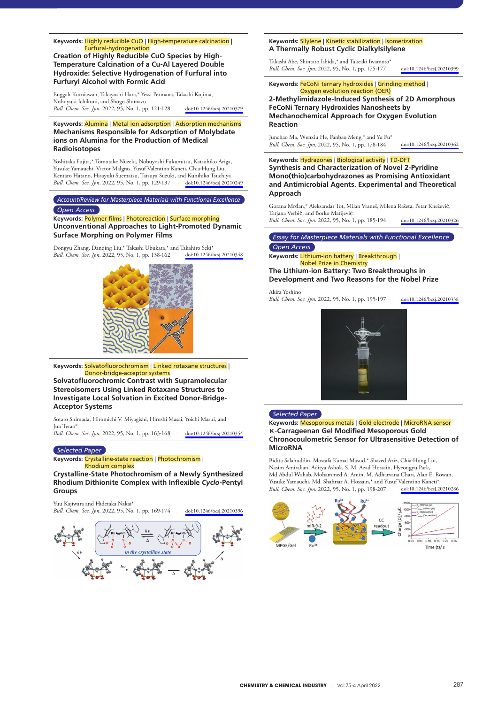#### **Keywords:** Highly reducible CuO | High**-**temperature calcination | Furfural**-**hydrogenation

**Creation of Highly Reducible CuO Species by High**-**Temperature Calcination of a Cu**-**Al Layered Double Hydroxide: Selective Hydrogenation of Furfural into Furfuryl Alcohol with Formic Acid**

Enggah Kurniawan, Takayoshi Hara,\* Yessi Permana, Takashi Kojima, Nobuyuki Ichikuni, and Shogo Shimazu *Bull. Chem. Soc. Jpn*. 2022, 95, No. 1, pp. 121-128 [doi:10.1246/bcsj.20210379](https://doi.org/10.1246/bcsj.20210379)

## **Keywords:** Alumina | Metal ion adsorption | Adsorption mechanisms **Mechanisms Responsible for Adsorption of Molybdate ions on Alumina for the Production of Medical Radioisotopes**

Yoshitaka Fujita,\* Tomotake Niizeki, Nobuyoshi Fukumitsu, Katsuhiko Ariga, Yusuke Yamauchi, Victor Malgras, Yusuf Valentino Kaneti, Chia-Hung Liu, Kentaro Hatano, Hisayuki Suematsu, Tatsuya Suzuki, and Kunihiko Tsuchiya<br> *Bull. Chem. Soc. Jpn.* 2022, 95, No. 1, pp. 129-137 doi:10.1246/bcsj.20210249 *Bull. Chem. Soc. Jpn.* 2022, 95, No. 1, pp. 129-137

*Account/Review for Masterpiece Materials with Functional Excellence*

#### *Open Access*

#### **Keywords:** Polymer films | Photoreaction | Surface morphing **Unconventional Approaches to Light**-**Promoted Dynamic Surface Morphing on Polymer Films**

Dongyu Zhang, Danqing Liu,\* Takashi Ubukata,\* and Takahiro Seki\*<br>*Bull Chem Soc Inn* 2022, 95. No. 1. pp. 138-162 doi:10.1246/bcsi 20210348 *Bull. Chem. Soc. Jpn.* 2022, 95, No. 1, pp. 138-162



**Keywords:** Solvatofluorochromism | Linked rotaxane structures | Donor**-**bridge**-**acceptor systems

**Solvatofluorochromic Contrast with Supramolecular Stereoisomers Using Linked Rotaxane Structures to Investigate Local Solvation in Excited Donor**-**Bridge**-**Acceptor Systems**

Sotaro Shimada, Hiromichi V. Miyagishi, Hiroshi Masai, Yoichi Masui, and Jun Terao

*Bull. Chem. Soc. Jpn*. 2022, 95, No. 1, pp. 163-168 [doi:10.1246/bcsj.20210354](https://doi.org/10.1246/bcsj.20210354)

## *Selected Paper*

**Keywords:** Crystalline**-**state reaction | Photochromism | Rhodium complex

**Crystalline**-**State Photochromism of a Newly Synthesized Rhodium Dithionite Complex with Inflexible** *Cyclo*-**Pentyl Groups**

Yuu Kajiwara and Hidetaka Nakai\*

*Bull. Chem. Soc. Jpn*. 2022, 95, No. 1, pp. 169-174 [doi:10.1246/bcsj.20210396](https://doi.org/10.1246/bcsj.20210396)



## **Keywords:** Silylene | Kinetic stabilization | Isomerization **A Thermally Robust Cyclic Dialkylsilylene**

Takashi Abe, Shintaro Ishida,\* and Takeaki Iwamoto\* *Bull. Chem. Soc. Jpn*. 2022, 95, No. 1, pp. 175-177 [doi:10.1246/bcsj.20210399](https://doi.org/10.1246/bcsj.20210399)

#### **Keywords:** FeCoNi ternary hydroxides | Grinding method | Oxygen evolution reaction (OER)

**2**-**Methylimidazole**-**Induced Synthesis of 2D Amorphous FeCoNi Ternary Hydroxides Nanosheets by Mechanochemical Approach for Oxygen Evolution Reaction**

Junchao Ma, Wenxiu He, Fanbao Meng,\* and Yu Fu\* *Bull. Chem. Soc. Jpn*. 2022, 95, No. 1, pp. 178-184 [doi:10.1246/bcsj.20210362](https://doi.org/10.1246/bcsj.20210362)

## **Keywords:** Hydrazones | Biological activity | TD**-**DFT

**Synthesis and Characterization of Novel 2**-**Pyridine Mono(thio)carbohydrazones as Promising Antioxidant and Antimicrobial Agents. Experimental and Theoretical Approach**

Gorana Mrđan,\* Aleksandar Tot, Milan Vraneš, Milena Rašeta, Petar Knežević, Tatjana Verbić, and Borko Matijević *Bull. Chem. Soc. Jpn*. 2022, 95, No. 1, pp. 185-194 [doi:10.1246/bcsj.20210326](https://doi.org/10.1246/bcsj.20210326)

## *Essay for Masterpiece Materials with Functional Excellence Open Access*

#### **Keywords:** Lithium**-**ion battery | Breakthrough | Nobel Prize in Chemistry

**The Lithium**-**ion Battery: Two Breakthroughs in Development and Two Reasons for the Nobel Prize**

Akira Yoshino

*Bull. Chem. Soc. Jpn*. 2022, 95, No. 1, pp. 195-197 [doi:10.1246/bcsj.20210338](https://doi.org/10.1246/bcsj.20210338)



#### *Selected Paper*

## **Keywords:** Mesoporous metals | Gold electrode | MicroRNA sensor <sup>κ</sup>-**Carrageenan Gel Modified Mesoporous Gold Chronocoulometric Sensor for Ultrasensitive Detection of MicroRNA**

Bidita Salahuddin, Mostafa Kamal Masud,\* Shazed Aziz, Chia-Hung Liu, Nasim Amiralian, Aditya Ashok, S. M. Azad Hossain, Hyeongyu Park, Md Abdul Wahab, Mohammed A. Amin, M. Adharvana Chari, Alan E. Rowan, Yusuke Yamauchi, Md. Shahriar A. Hossain,\* and Yusuf Valentino Kaneti\*<br> *Bull. Chem. Soc. Jpn.* 2022, 95, No. 1, pp. 198-207 doi:10.1246/bcsj.20210286 *Bull. Chem. Soc. Jpn.* 2022, 95, No. 1, pp. 198-207

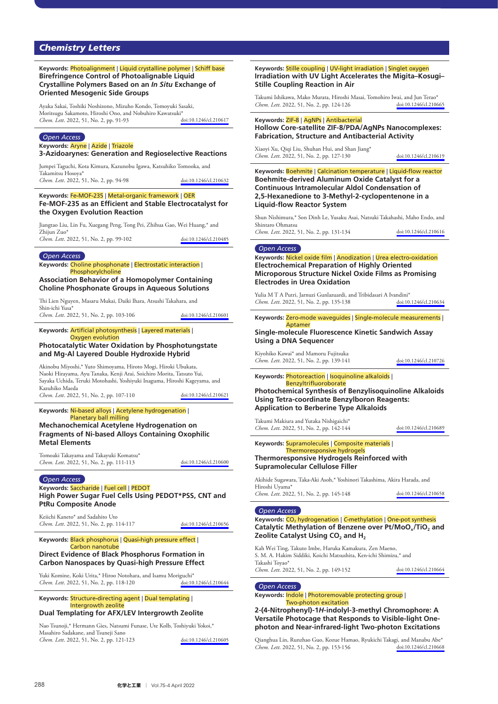# *Chemistry Letters*

## **Keywords:** Photoalignment | Liquid crystalline polymer | Schiff base **Birefringence Control of Photoalignable Liquid Crystalline Polymers Based on an** *In Situ* **Exchange of Oriented Mesogenic Side Groups**

Ayaka Sakai, Toshiki Noshizono, Mizuho Kondo, Tomoyuki Sasaki, Moritsugu Sakamoto, Hiroshi Ono, and Nobuhiro Kawatsuki\*<br>Chem. Lett. 2022. 51. No. 2. pp. 91-93 doi:10.1246/cl.210617 *Chem. Lett.* 2022, 51, No. 2, pp. 91-93

#### *Open Access*

**Keywords:** Aryne | Azide | Triazole

**3**-**Azidoarynes: Generation and Regioselective Reactions**

Jumpei Taguchi, Kota Kimura, Kazunobu Igawa, Katsuhiko Tomooka, and Takamitsu Hosoya\* *Chem. Lett.* 2022, 51, No. 2, pp. 94-98 [doi:10.1246/cl.210632](https://doi.org/10.1246/cl.210632)

#### **Keywords:** Fe**-**MOF**-**235 | Metal**-**organic framework | OER **Fe**-**MOF**-**235 as an Efficient and Stable Electrocatalyst for the Oxygen Evolution Reaction**

Jiangtao Liu, Lin Fu, Xuegang Peng, Tong Pei, Zhihua Gao, Wei Huang,\* and Zhijun Zuo\* *Chem. Lett*. 2022, 51, No. 2, pp. 99-102 [doi:10.1246/cl.210485](https://doi.org/10.1246/cl.210485)

#### *Open Access*

**Keywords:** Choline phosphonate | Electrostatic interaction | Phosphorylcholine

**Association Behavior of a Homopolymer Containing Choline Phosphonate Groups in Aqueous Solutions**

i Lien Nguyen, Masaru Mukai, Daiki Ihara, Atsushi Takahara, and Shin-ichi Yusa\* *Chem. Lett*. 2022, 51, No. 2, pp. 103-106 [doi:10.1246/cl.210601](https://doi.org/10.1246/cl.210601)

#### **Keywords:** Artificial photosynthesis | Layered materials | Oxygen evolution

## **Photocatalytic Water Oxidation by Phosphotungstate and Mg**-**Al Layered Double Hydroxide Hybrid**

Akinobu Miyoshi,\* Yuto Shimoyama, Hiroto Mogi, Hiroki Ubukata, Naoki Hirayama, Ayu Tanaka, Kenji Arai, Soichiro Morita, Tatsuto Yui, Sayaka Uchida, Teruki Motohashi, Yoshiyuki Inaguma, Hiroshi Kageyama, and Kazuhiko Maeda *Chem. Lett*. 2022, 51, No. 2, pp. 107-110 [doi:10.1246/cl.210621](https://doi.org/10.1246/cl.210621)

**Keywords:** Ni**-**based alloys | Acetylene hydrogenation | Planetary ball milling

## **Mechanochemical Acetylene Hydrogenation on Fragments of Ni**-**based Alloys Containing Oxophilic Metal Elements**

Tomoaki Takayama and Takayuki Komatsu\* *Chem. Lett*. 2022, 51, No. 2, pp. 111-113 [doi:10.1246/cl.210600](https://doi.org/10.1246/cl.210600)

*Open Access*

## **Keywords:** Saccharide | Fuel cell | PEDOT **High Power Sugar Fuel Cells Using PEDOT\*PSS, CNT and PtRu Composite Anode**

Keiichi Kaneto\* and Sadahito Uto *Chem. Lett*. 2022, 51, No. 2, pp. 114-117 [doi:10.1246/cl.210656](https://doi.org/10.1246/cl.210656)

#### **Keywords:** Black phosphorus | Quasi**-**high pressure effect | Carbon nanotube

## **Direct Evidence of Black Phosphorus Formation in Carbon Nanospaces by Quasi**-**high Pressure Effect**

Yuki Komine, Koki Urita,\* Hiroo Notohara, and Isamu Moriguchi\* *Chem. Lett.* 2022, 51, No. 2, pp. 118-120

#### **Keywords:** Structure**-**directing agent | Dual templating | Intergrowth zeolite

# **Dual Templating for AFX/LEV Intergrowth Zeolite**

Nao Tsunoji,\* Hermann Gies, Natsumi Funase, Ute Kolb, Toshiyuki Yokoi,\* Masahiro Sadakane, and Tsuneji Sano *Chem. Lett*. 2022, 51, No. 2, pp. 121-123 [doi:10.1246/cl.210605](https://doi.org/10.1246/cl.210605) **Keywords:** Stille coupling | UV**-**light irradiation | Singlet oxygen **Irradiation with UV Light Accelerates the Migita–Kosugi– Stille Coupling Reaction in Air**

Takumi Ishikawa, Mako Murata, Hiroshi Masai, Tomohiro Iwai, and Jun Terao\* *Chem. Lett.* 2022, 51, No. 2, pp. 124-126

#### **Keywords:** ZIF**-**8 | AgNPs | Antibacterial **Hollow Core**-**satellite ZIF**-**8/PDA/AgNPs Nanocomplexes:**

**Fabrication, Structure and Antibacterial Activity**

Xiaoyi Xu, Qiqi Liu, Shuhan Hui, and Shan Jiang\* *Chem. Lett*. 2022, 51, No. 2, pp. 127-130 [doi:10.1246/cl.210619](https://doi.org/10.1246/cl.210619)

**Keywords:** Boehmite | Calcination temperature | Liquid**-**flow reactor **Boehmite**-**derived Aluminum Oxide Catalyst for a Continuous Intramolecular Aldol Condensation of 2,5**-**Hexanedione to 3**-**Methyl**-**2**-**cyclopentenone in a Liquid**-**flow Reactor System**

Shun Nishimura,\* Son Dinh Le, Yusaku Asai, Natsuki Takahashi, Maho Endo, and Shintaro Ohmatsu *Chem. Lett*. 2022, 51, No. 2, pp. 131-134 [doi:10.1246/cl.210616](https://doi.org/10.1246/cl.210616)

## *Open Access*

**Keywords:** Nickel oxide film | Anodization | Urea electro**-**oxidation **Electrochemical Preparation of Highly Oriented Microporous Structure Nickel Oxide Films as Promising Electrodes in Urea Oxidation**

Yulia M T A Putri, Jarnuzi Gunlazuardi, and Tribidasari A Ivandini\*<br>Chem. Lett. 2022, 51, No. 2, pp. 135-138 doi:10.1246/cl.210634 *Chem. Lett.* 2022, 51, No. 2, pp. 135-138

**Keywords:** Zero**-**mode waveguides | Single**-**molecule measurements | Aptamer

**Single**-**molecule Fluorescence Kinetic Sandwich Assay Using a DNA Sequencer**

Kiyohiko Kawai\* and Mamoru Fujitsuka *Chem. Lett*. 2022, 51, No. 2, pp. 139-141 [doi:10.1246/cl.210726](https://doi.org/10.1246/cl.210726)

**Keywords:** Photoreaction | Isoquinoline alkaloids |

Benzyltrifluoroborate

**Photochemical Synthesis of Benzylisoquinoline Alkaloids Using Tetra**-**coordinate Benzylboron Reagents: Application to Berberine Type Alkaloids**

Takumi Makiura and Yutaka Nishigaichi\* *Chem. Lett*. 2022, 51, No. 2, pp. 142-144 [doi:10.1246/cl.210689](https://doi.org/10.1246/cl.210689)

#### **Keywords:** Supramolecules | Composite materials | Thermoresponsive hydrogels **Thermoresponsive Hydrogels Reinforced with**

# **Supramolecular Cellulose Filler**

Akihide Sugawara, Taka-Aki Asoh,\* Yoshinori Takashima, Akira Harada, and Hiroshi Uyama\* *Chem. Lett*. 2022, 51, No. 2, pp. 145-148 [doi:10.1246/cl.210658](https://doi.org/10.1246/cl.210658)

#### *Open Access*

**Keywords:** CO2 hydrogenation | *C***-**methylation | One**-**pot synthesis Catalytic Methylation of Benzene over Pt/MoO<sub>x</sub>/TiO<sub>2</sub> and **Zeolite Catalyst Using CO<sub>2</sub> and H<sub>2</sub>** 

Kah Wei Ting, Takuto Imbe, Haruka Kamakura, Zen Maeno, S. M. A. Hakim Siddiki, Koichi Matsushita, Ken-ichi Shimizu,\* and Takashi Toyao\* *Chem. Lett*. 2022, 51, No. 2, pp. 149-152 [doi:10.1246/cl.210664](https://doi.org/10.1246/cl.210664)

## *Open Access*

**Keywords:** Indole | Photoremovable protecting group | Two**-**photon excitation

**2**-**(4**-**Nitrophenyl)**-**1***H*-**indolyl**-**3**-**methyl Chromophore: A Versatile Photocage that Responds to Visible**-**light Onephoton and Near**-**infrared**-**light Two**-**photon Excitations**

Qianghua Lin, Runzhao Guo, Kozue Hamao, Ryukichi Takagi, and Manabu Abe\* *Chem. Lett.* 2022, 51, No. 2, pp. 153-156